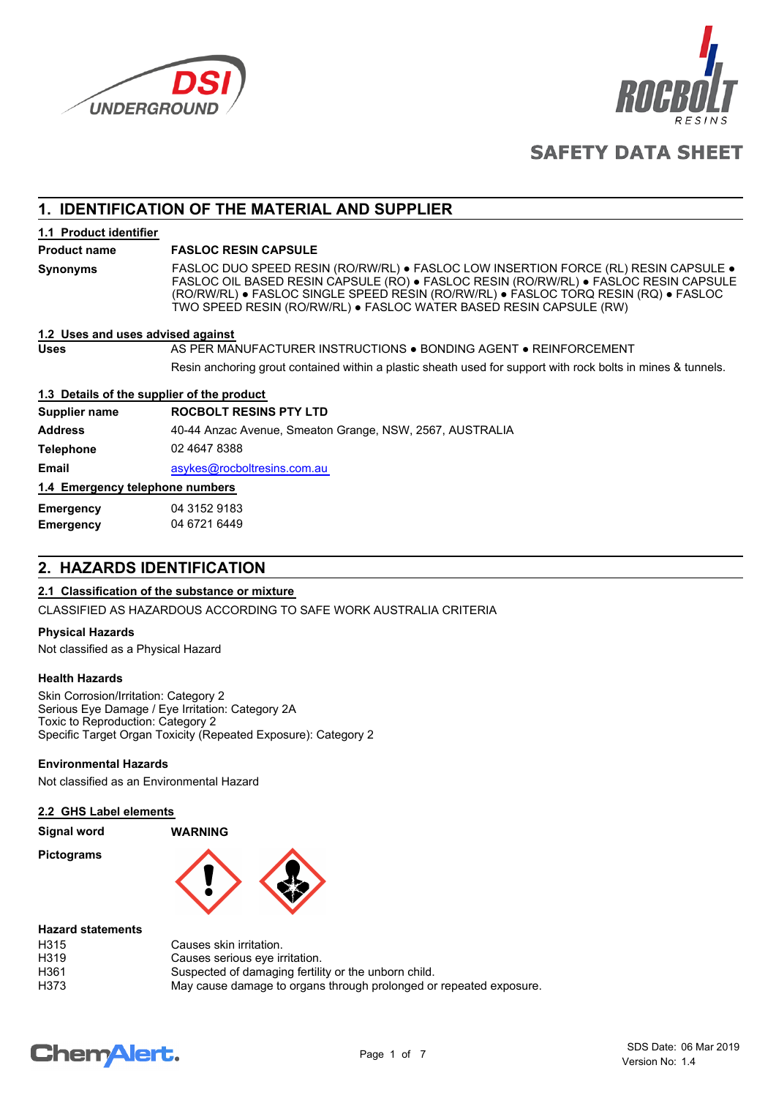



# **SAFETY DATA SHEET**

# **1. IDENTIFICATION OF THE MATERIAL AND SUPPLIER**

**1.1 Product identifier**

## **Product name FASLOC RESIN CAPSULE**

**Synonyms**

FASLOC DUO SPEED RESIN (RO/RW/RL) ● FASLOC LOW INSERTION FORCE (RL) RESIN CAPSULE ● FASLOC OIL BASED RESIN CAPSULE (RO) ● FASLOC RESIN (RO/RW/RL) ● FASLOC RESIN CAPSULE (RO/RW/RL) ● FASLOC SINGLE SPEED RESIN (RO/RW/RL) ● FASLOC TORQ RESIN (RQ) ● FASLOC TWO SPEED RESIN (RO/RW/RL) ● FASLOC WATER BASED RESIN CAPSULE (RW)

#### **1.2 Uses and uses advised against**

**Uses AS PER MANUFACTURER INSTRUCTIONS ● BONDING AGENT ● REINFORCEMENT** Resin anchoring grout contained within a plastic sheath used for support with rock bolts in mines & tunnels.

## **1.3 Details of the supplier of the product**

| Supplier name                    | <b>ROCBOLT RESINS PTY LTD</b>                            |  |  |  |
|----------------------------------|----------------------------------------------------------|--|--|--|
| <b>Address</b>                   | 40-44 Anzac Avenue, Smeaton Grange, NSW, 2567, AUSTRALIA |  |  |  |
| <b>Telephone</b>                 | 02 4647 8388                                             |  |  |  |
| <b>Email</b>                     | asykes@rocboltresins.com.au                              |  |  |  |
| 1.4 Emergency telephone numbers  |                                                          |  |  |  |
| 04 3152 9183<br><b>Emergency</b> |                                                          |  |  |  |
| <b>Emergency</b>                 | 04 6721 6449                                             |  |  |  |

# **2. HAZARDS IDENTIFICATION**

## **2.1 Classification of the substance or mixture**

CLASSIFIED AS HAZARDOUS ACCORDING TO SAFE WORK AUSTRALIA CRITERIA

#### **Physical Hazards**

Not classified as a Physical Hazard

#### **Health Hazards**

Skin Corrosion/Irritation: Category 2 Serious Eye Damage / Eye Irritation: Category 2A Toxic to Reproduction: Category 2 Specific Target Organ Toxicity (Repeated Exposure): Category 2

## **Environmental Hazards**

Not classified as an Environmental Hazard

#### **2.2 GHS Label elements**

| Signal word | <b>WARNING</b> |
|-------------|----------------|
| Pictograms  |                |



#### **Hazard statements**

| H315 | Causes skin irritation.                                            |
|------|--------------------------------------------------------------------|
| H319 | Causes serious eye irritation.                                     |
| H361 | Suspected of damaging fertility or the unborn child.               |
| H373 | May cause damage to organs through prolonged or repeated exposure. |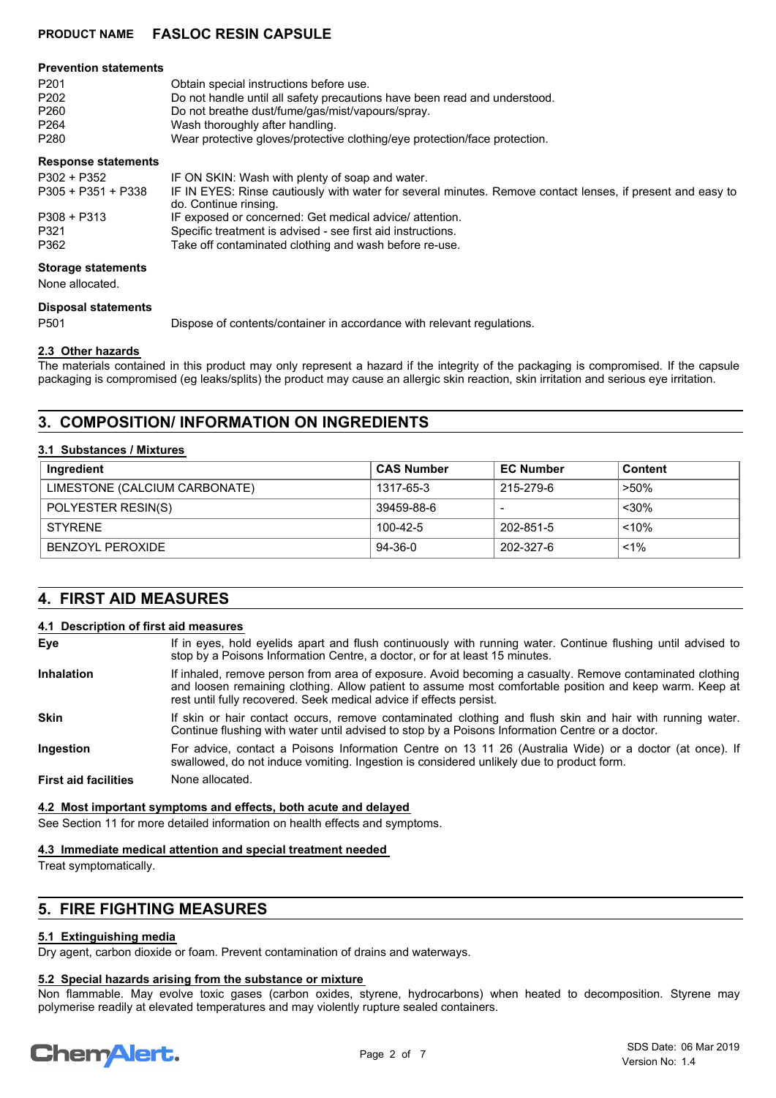#### **Prevention statements**

| P <sub>201</sub> | Obtain special instructions before use.                                    |
|------------------|----------------------------------------------------------------------------|
| P <sub>202</sub> | Do not handle until all safety precautions have been read and understood.  |
| P260             | Do not breathe dust/fume/gas/mist/vapours/spray.                           |
| P <sub>264</sub> | Wash thoroughly after handling.                                            |
| P280             | Wear protective gloves/protective clothing/eye protection/face protection. |
|                  |                                                                            |

#### **Response statements**

| P302 + P352        | IF ON SKIN: Wash with plenty of soap and water.                                                            |
|--------------------|------------------------------------------------------------------------------------------------------------|
| P305 + P351 + P338 | IF IN EYES: Rinse cautiously with water for several minutes. Remove contact lenses, if present and easy to |
|                    | do. Continue rinsing.                                                                                      |
| $P308 + P313$      | IF exposed or concerned: Get medical advice/ attention.                                                    |
| P321               | Specific treatment is advised - see first aid instructions.                                                |
| P362               | Take off contaminated clothing and wash before re-use.                                                     |

## **Storage statements**

None allocated.

#### **Disposal statements**

P501 Dispose of contents/container in accordance with relevant regulations.

#### **2.3 Other hazards**

The materials contained in this product may only represent a hazard if the integrity of the packaging is compromised. If the capsule packaging is compromised (eg leaks/splits) the product may cause an allergic skin reaction, skin irritation and serious eye irritation.

# **3. COMPOSITION/ INFORMATION ON INGREDIENTS**

#### **3.1 Substances / Mixtures**

| Ingredient                    | <b>CAS Number</b> | <b>EC Number</b> | <b>Content</b> |
|-------------------------------|-------------------|------------------|----------------|
| LIMESTONE (CALCIUM CARBONATE) | 1317-65-3         | 215-279-6        | $>50\%$        |
| POLYESTER RESIN(S)            | 39459-88-6        |                  | $30%$          |
| <b>STYRENE</b>                | 100-42-5          | 202-851-5        | < 10%          |
| BENZOYL PEROXIDE              | 94-36-0           | 202-327-6        | $1\%$          |

# **4. FIRST AID MEASURES**

#### **4.1 Description of first aid measures**

| Eye                         | If in eyes, hold eyelids apart and flush continuously with running water. Continue flushing until advised to<br>stop by a Poisons Information Centre, a doctor, or for at least 15 minutes.                                                                                                |  |
|-----------------------------|--------------------------------------------------------------------------------------------------------------------------------------------------------------------------------------------------------------------------------------------------------------------------------------------|--|
| <b>Inhalation</b>           | If inhaled, remove person from area of exposure. Avoid becoming a casualty. Remove contaminated clothing<br>and loosen remaining clothing. Allow patient to assume most comfortable position and keep warm. Keep at<br>rest until fully recovered. Seek medical advice if effects persist. |  |
| <b>Skin</b>                 | If skin or hair contact occurs, remove contaminated clothing and flush skin and hair with running water.<br>Continue flushing with water until advised to stop by a Poisons Information Centre or a doctor.                                                                                |  |
| Ingestion                   | For advice, contact a Poisons Information Centre on 13 11 26 (Australia Wide) or a doctor (at once). If<br>swallowed, do not induce vomiting. Ingestion is considered unlikely due to product form.                                                                                        |  |
| <b>First aid facilities</b> | None allocated.                                                                                                                                                                                                                                                                            |  |

#### **4.2 Most important symptoms and effects, both acute and delayed**

See Section 11 for more detailed information on health effects and symptoms.

## **4.3 Immediate medical attention and special treatment needed**

Treat symptomatically.

# **5. FIRE FIGHTING MEASURES**

#### **5.1 Extinguishing media**

Dry agent, carbon dioxide or foam. Prevent contamination of drains and waterways.

## **5.2 Special hazards arising from the substance or mixture**

Non flammable. May evolve toxic gases (carbon oxides, styrene, hydrocarbons) when heated to decomposition. Styrene may polymerise readily at elevated temperatures and may violently rupture sealed containers.

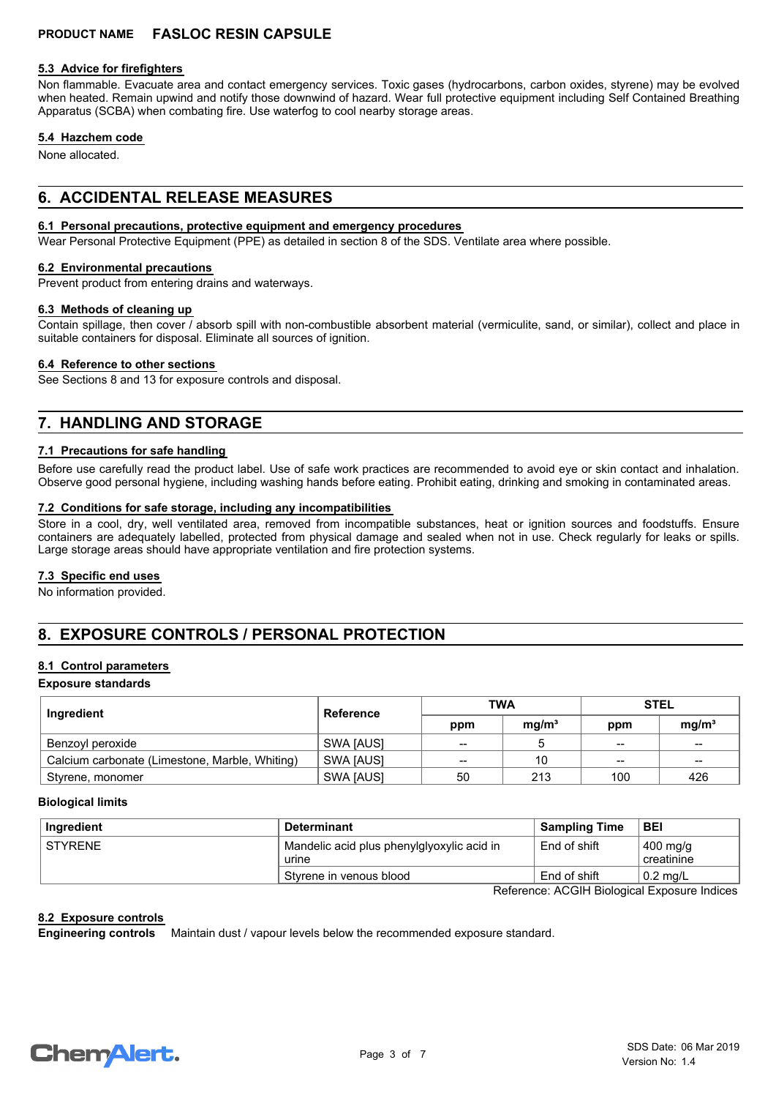#### **5.3 Advice for firefighters**

Non flammable. Evacuate area and contact emergency services. Toxic gases (hydrocarbons, carbon oxides, styrene) may be evolved when heated. Remain upwind and notify those downwind of hazard. Wear full protective equipment including Self Contained Breathing Apparatus (SCBA) when combating fire. Use waterfog to cool nearby storage areas.

#### **5.4 Hazchem code**

None allocated.

# **6. ACCIDENTAL RELEASE MEASURES**

## **6.1 Personal precautions, protective equipment and emergency procedures**

Wear Personal Protective Equipment (PPE) as detailed in section 8 of the SDS. Ventilate area where possible.

#### **6.2 Environmental precautions**

Prevent product from entering drains and waterways.

#### **6.3 Methods of cleaning up**

Contain spillage, then cover / absorb spill with non-combustible absorbent material (vermiculite, sand, or similar), collect and place in suitable containers for disposal. Eliminate all sources of ignition.

#### **6.4 Reference to other sections**

See Sections 8 and 13 for exposure controls and disposal.

# **7. HANDLING AND STORAGE**

## **7.1 Precautions for safe handling**

Before use carefully read the product label. Use of safe work practices are recommended to avoid eye or skin contact and inhalation. Observe good personal hygiene, including washing hands before eating. Prohibit eating, drinking and smoking in contaminated areas.

#### **7.2 Conditions for safe storage, including any incompatibilities**

Store in a cool, dry, well ventilated area, removed from incompatible substances, heat or ignition sources and foodstuffs. Ensure containers are adequately labelled, protected from physical damage and sealed when not in use. Check regularly for leaks or spills. Large storage areas should have appropriate ventilation and fire protection systems.

#### **7.3 Specific end uses**

No information provided.

# **8. EXPOSURE CONTROLS / PERSONAL PROTECTION**

#### **8.1 Control parameters**

#### **Exposure standards**

| Ingredient                                     | <b>Reference</b> | TWA |                   | <b>STEL</b> |                   |
|------------------------------------------------|------------------|-----|-------------------|-------------|-------------------|
|                                                |                  | ppm | mq/m <sup>3</sup> | ppm         | mq/m <sup>3</sup> |
| Benzoyl peroxide                               | SWA [AUS]        | --  |                   | $- -$       | $- -$             |
| Calcium carbonate (Limestone, Marble, Whiting) | SWA [AUS]        | --  | 10                | $- -$       | $- -$             |
| , Styrene, monomer                             | <b>SWA JAUSI</b> | 50  | 213               | 100         | 426               |

#### **Biological limits**

|                |                                                     | <b>Sampling Time</b> | <b>BEI</b>                       |
|----------------|-----------------------------------------------------|----------------------|----------------------------------|
| <b>STYRENE</b> | Mandelic acid plus phenylglyoxylic acid in<br>urine | End of shift         | $400 \text{ mg/g}$<br>creatinine |
|                | Styrene in venous blood                             | End of shift         | $\pm 0.2$ mg/L                   |

Reference: ACGIH Biological Exposure Indices

## **8.2 Exposure controls**

Maintain dust / vapour levels below the recommended exposure standard. **Engineering controls**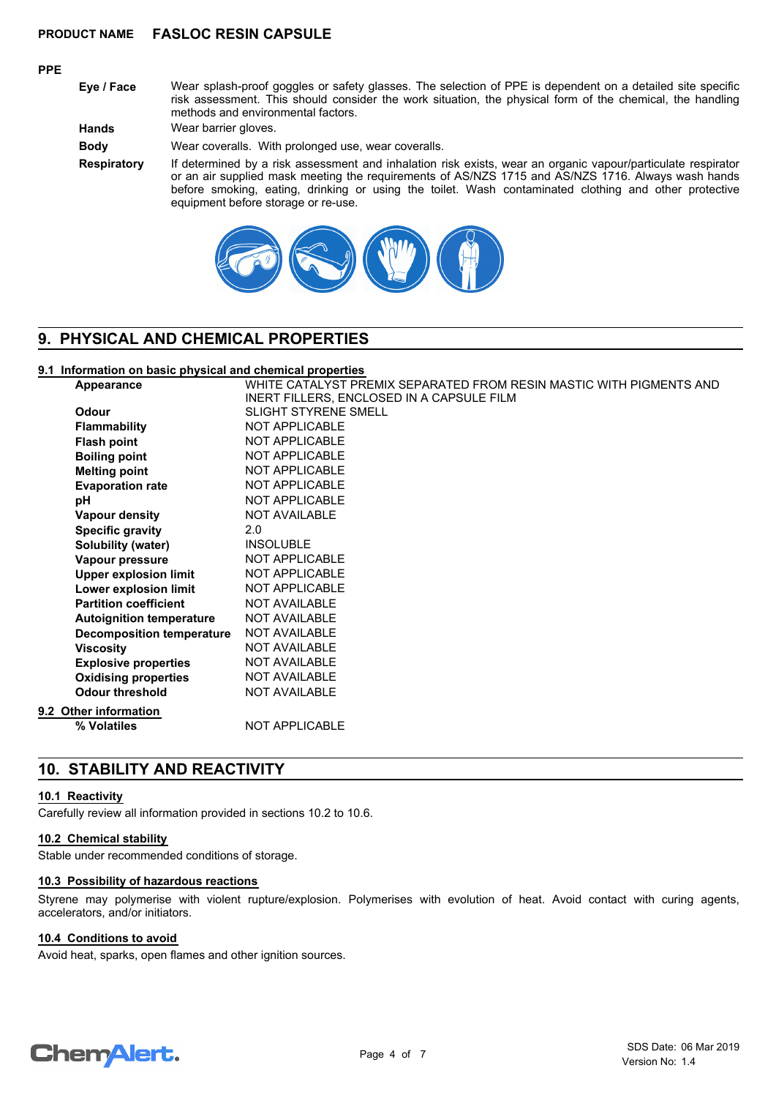## **PPE**

**Eye / Face** Wear splash-proof goggles or safety glasses. The selection of PPE is dependent on a detailed site specific risk assessment. This should consider the work situation, the physical form of the chemical, the handling methods and environmental factors.

**Hands** Wear barrier gloves.

**Body** Wear coveralls. With prolonged use, wear coveralls.

**Respiratory** If determined by a risk assessment and inhalation risk exists, wear an organic vapour/particulate respirator or an air supplied mask meeting the requirements of AS/NZS 1715 and AS/NZS 1716. Always wash hands before smoking, eating, drinking or using the toilet. Wash contaminated clothing and other protective equipment before storage or re-use.



# **9. PHYSICAL AND CHEMICAL PROPERTIES**

## **9.1 Information on basic physical and chemical properties**

| Appearance                      | WHITE CATALYST PREMIX SEPARATED FROM RESIN MASTIC WITH PIGMENTS AND |
|---------------------------------|---------------------------------------------------------------------|
|                                 | INERT FILLERS, ENCLOSED IN A CAPSULE FILM                           |
| Odour                           | <b>SLIGHT STYRENE SMELL</b>                                         |
| <b>Flammability</b>             | <b>NOT APPLICABLE</b>                                               |
| <b>Flash point</b>              | <b>NOT APPLICABLE</b>                                               |
| <b>Boiling point</b>            | <b>NOT APPLICABLE</b>                                               |
| <b>Melting point</b>            | <b>NOT APPLICABLE</b>                                               |
| <b>Evaporation rate</b>         | <b>NOT APPLICABLE</b>                                               |
| pH                              | <b>NOT APPLICABLE</b>                                               |
| <b>Vapour density</b>           | <b>NOT AVAILABLE</b>                                                |
| <b>Specific gravity</b>         | 2.0                                                                 |
| Solubility (water)              | <b>INSOLUBLE</b>                                                    |
| Vapour pressure                 | NOT APPLICABLE                                                      |
| <b>Upper explosion limit</b>    | <b>NOT APPLICABLE</b>                                               |
| Lower explosion limit           | <b>NOT APPLICABLE</b>                                               |
| <b>Partition coefficient</b>    | <b>NOT AVAILABLE</b>                                                |
| <b>Autoignition temperature</b> | <b>NOT AVAILABLE</b>                                                |
| Decomposition temperature       | <b>NOT AVAILABLE</b>                                                |
| <b>Viscosity</b>                | <b>NOT AVAILABLE</b>                                                |
| <b>Explosive properties</b>     | <b>NOT AVAILABLE</b>                                                |
| <b>Oxidising properties</b>     | <b>NOT AVAILABLE</b>                                                |
| <b>Odour threshold</b>          | <b>NOT AVAILABLE</b>                                                |
| 9.2 Other information           |                                                                     |
| % Volatiles                     | <b>NOT APPLICABLE</b>                                               |
|                                 |                                                                     |

# **10. STABILITY AND REACTIVITY**

#### **10.1 Reactivity**

Carefully review all information provided in sections 10.2 to 10.6.

#### **10.2 Chemical stability**

Stable under recommended conditions of storage.

#### **10.3 Possibility of hazardous reactions**

Styrene may polymerise with violent rupture/explosion. Polymerises with evolution of heat. Avoid contact with curing agents, accelerators, and/or initiators.

#### **10.4 Conditions to avoid**

Avoid heat, sparks, open flames and other ignition sources.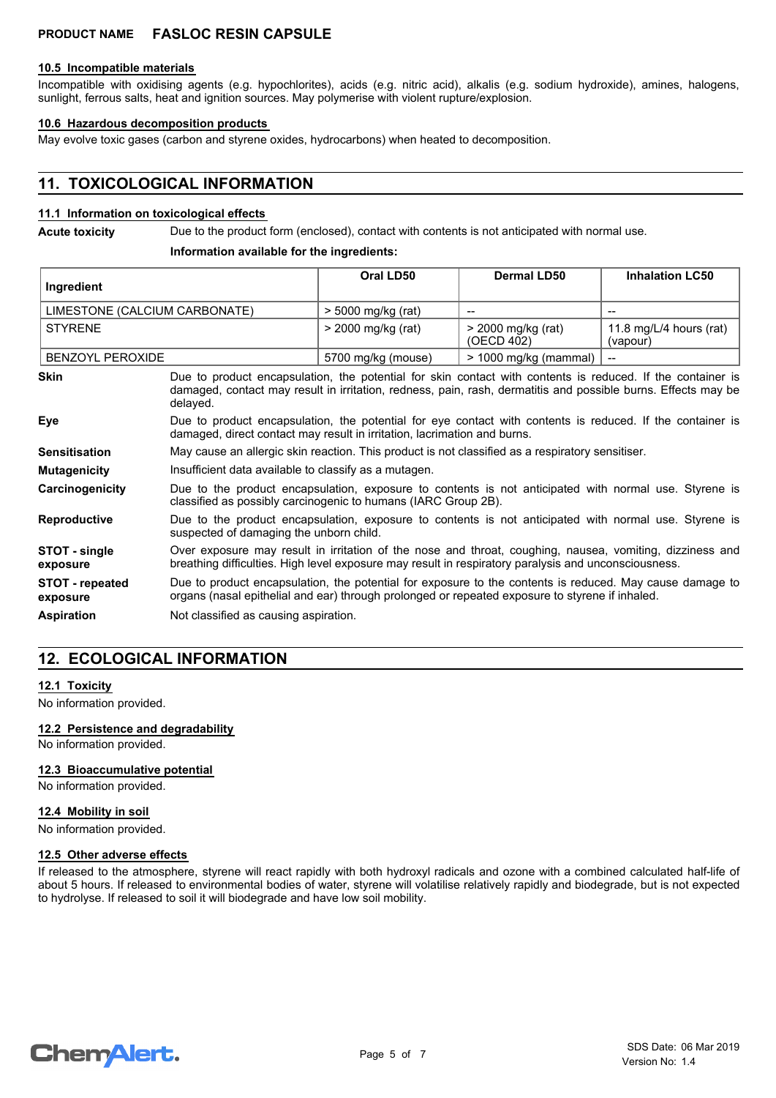#### **10.5 Incompatible materials**

Incompatible with oxidising agents (e.g. hypochlorites), acids (e.g. nitric acid), alkalis (e.g. sodium hydroxide), amines, halogens, sunlight, ferrous salts, heat and ignition sources. May polymerise with violent rupture/explosion.

#### **10.6 Hazardous decomposition products**

May evolve toxic gases (carbon and styrene oxides, hydrocarbons) when heated to decomposition.

# **11. TOXICOLOGICAL INFORMATION**

#### **11.1 Information on toxicological effects**

**Acute toxicity** Due to the product form (enclosed), contact with contents is not anticipated with normal use.

#### **Information available for the ingredients:**

| Ingredient                    |                                                                                                                                                                                                                                         | Oral LD50          | <b>Dermal LD50</b>               | <b>Inhalation LC50</b>              |
|-------------------------------|-----------------------------------------------------------------------------------------------------------------------------------------------------------------------------------------------------------------------------------------|--------------------|----------------------------------|-------------------------------------|
|                               |                                                                                                                                                                                                                                         |                    |                                  |                                     |
| LIMESTONE (CALCIUM CARBONATE) |                                                                                                                                                                                                                                         | > 5000 mg/kg (rat) |                                  |                                     |
| <b>STYRENE</b>                |                                                                                                                                                                                                                                         | > 2000 mg/kg (rat) | > 2000 mg/kg (rat)<br>(OECD 402) | 11.8 mg/L/4 hours (rat)<br>(vapour) |
| <b>BENZOYL PEROXIDE</b>       |                                                                                                                                                                                                                                         | 5700 mg/kg (mouse) | $>$ 1000 mg/kg (mammal)          |                                     |
| <b>Skin</b>                   | Due to product encapsulation, the potential for skin contact with contents is reduced. If the container is<br>damaged, contact may result in irritation, redness, pain, rash, dermatitis and possible burns. Effects may be<br>delayed. |                    |                                  |                                     |
| Eye                           | Due to product encapsulation, the potential for eye contact with contents is reduced. If the container is<br>damaged, direct contact may result in irritation, lacrimation and burns.                                                   |                    |                                  |                                     |
| <b>Sensitisation</b>          | May cause an allergic skin reaction. This product is not classified as a respiratory sensitiser.                                                                                                                                        |                    |                                  |                                     |
| <b>Mutagenicity</b>           | Insufficient data available to classify as a mutagen.                                                                                                                                                                                   |                    |                                  |                                     |
| Carcinogenicity               | Due to the product encapsulation, exposure to contents is not anticipated with normal use. Styrene is<br>classified as possibly carcinogenic to humans (IARC Group 2B).                                                                 |                    |                                  |                                     |
| <b>Reproductive</b>           | Due to the product encapsulation, exposure to contents is not anticipated with normal use. Styrene is<br>suspected of damaging the unborn child.                                                                                        |                    |                                  |                                     |
| STOT - single<br>exposure     | Over exposure may result in irritation of the nose and throat, coughing, nausea, vomiting, dizziness and<br>breathing difficulties. High level exposure may result in respiratory paralysis and unconsciousness.                        |                    |                                  |                                     |
| STOT - repeated<br>exposure   | Due to product encapsulation, the potential for exposure to the contents is reduced. May cause damage to<br>organs (nasal epithelial and ear) through prolonged or repeated exposure to styrene if inhaled.                             |                    |                                  |                                     |
| <b>Aspiration</b>             | Not classified as causing aspiration.                                                                                                                                                                                                   |                    |                                  |                                     |

# **12. ECOLOGICAL INFORMATION**

## **12.1 Toxicity**

No information provided.

#### **12.2 Persistence and degradability**

No information provided.

#### **12.3 Bioaccumulative potential**

No information provided.

#### **12.4 Mobility in soil**

No information provided.

#### **12.5 Other adverse effects**

If released to the atmosphere, styrene will react rapidly with both hydroxyl radicals and ozone with a combined calculated half-life of about 5 hours. If released to environmental bodies of water, styrene will volatilise relatively rapidly and biodegrade, but is not expected to hydrolyse. If released to soil it will biodegrade and have low soil mobility.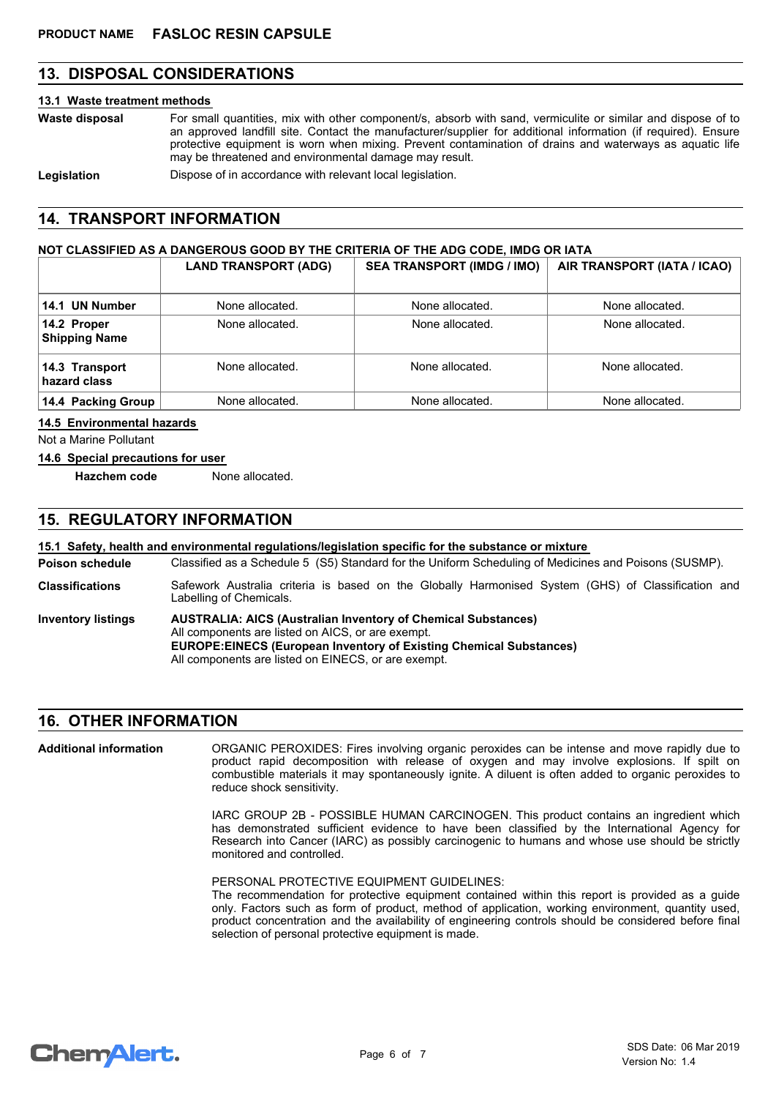# **13. DISPOSAL CONSIDERATIONS**

#### **13.1 Waste treatment methods**

For small quantities, mix with other component/s, absorb with sand, vermiculite or similar and dispose of to an approved landfill site. Contact the manufacturer/supplier for additional information (if required). Ensure protective equipment is worn when mixing. Prevent contamination of drains and waterways as aquatic life may be threatened and environmental damage may result. **Waste disposal**

**Legislation** Dispose of in accordance with relevant local legislation.

# **14. TRANSPORT INFORMATION**

## **NOT CLASSIFIED AS A DANGEROUS GOOD BY THE CRITERIA OF THE ADG CODE, IMDG OR IATA**

|                                     | <b>LAND TRANSPORT (ADG)</b> | <b>SEA TRANSPORT (IMDG / IMO)</b> | AIR TRANSPORT (IATA / ICAO) |
|-------------------------------------|-----------------------------|-----------------------------------|-----------------------------|
| 14.1 UN Number                      | None allocated.             | None allocated.                   | None allocated.             |
| 14.2 Proper<br><b>Shipping Name</b> | None allocated.             | None allocated.                   | None allocated.             |
| 14.3 Transport<br>hazard class      | None allocated.             | None allocated.                   | None allocated.             |
| 14.4 Packing Group                  | None allocated.             | None allocated.                   | None allocated.             |

#### **14.5 Environmental hazards**

Not a Marine Pollutant

#### **14.6 Special precautions for user**

**Hazchem code** None allocated.

# **15. REGULATORY INFORMATION**

#### **15.1 Safety, health and environmental regulations/legislation specific for the substance or mixture**

Classified as a Schedule 5 (S5) Standard for the Uniform Scheduling of Medicines and Poisons (SUSMP). **Poison schedule**

Safework Australia criteria is based on the Globally Harmonised System (GHS) of Classification and Labelling of Chemicals. **Classifications**

**AUSTRALIA: AICS (Australian Inventory of Chemical Substances)** All components are listed on AICS, or are exempt. **EUROPE:EINECS (European Inventory of Existing Chemical Substances)** All components are listed on EINECS, or are exempt. **Inventory listings**

# **16. OTHER INFORMATION**

ORGANIC PEROXIDES: Fires involving organic peroxides can be intense and move rapidly due to product rapid decomposition with release of oxygen and may involve explosions. If spilt on combustible materials it may spontaneously ignite. A diluent is often added to organic peroxides to reduce shock sensitivity. **Additional information**

> IARC GROUP 2B - POSSIBLE HUMAN CARCINOGEN. This product contains an ingredient which has demonstrated sufficient evidence to have been classified by the International Agency for Research into Cancer (IARC) as possibly carcinogenic to humans and whose use should be strictly monitored and controlled.

PERSONAL PROTECTIVE EQUIPMENT GUIDELINES:

The recommendation for protective equipment contained within this report is provided as a guide only. Factors such as form of product, method of application, working environment, quantity used, product concentration and the availability of engineering controls should be considered before final selection of personal protective equipment is made.